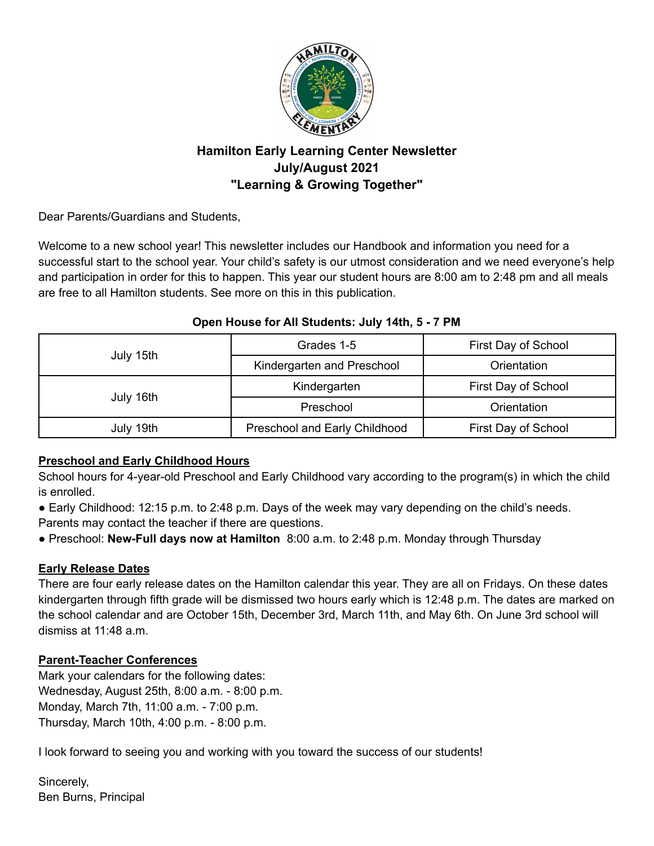

# **Hamilton Early Learning Center Newsletter July/August 2021 "Learning & Growing Together"**

Dear Parents/Guardians and Students,

Welcome to a new school year! This newsletter includes our Handbook and information you need for a successful start to the school year. Your child's safety is our utmost consideration and we need everyone's help and participation in order for this to happen. This year our student hours are 8:00 am to 2:48 pm and all meals are free to all Hamilton students. See more on this in this publication.

# **Open House for All Students: July 14th, 5 - 7 PM**

| July 15th | Grades 1-5                    | First Day of School |
|-----------|-------------------------------|---------------------|
|           | Kindergarten and Preschool    | Orientation         |
| July 16th | Kindergarten                  | First Day of School |
|           | Preschool                     | Orientation         |
| July 19th | Preschool and Early Childhood | First Day of School |

# **Preschool and Early Childhood Hours**

School hours for 4-year-old Preschool and Early Childhood vary according to the program(s) in which the child is enrolled.

- Early Childhood: 12:15 p.m. to 2:48 p.m. Days of the week may vary depending on the child's needs. Parents may contact the teacher if there are questions.
- Preschool: **New-Full days now at Hamilton** 8:00 a.m. to 2:48 p.m. Monday through Thursday

# **Early Release Dates**

There are four early release dates on the Hamilton calendar this year. They are all on Fridays. On these dates kindergarten through fifth grade will be dismissed two hours early which is 12:48 p.m. The dates are marked on the school calendar and are October 15th, December 3rd, March 11th, and May 6th. On June 3rd school will dismiss at 11:48 a.m.

# **Parent-Teacher Conferences**

Mark your calendars for the following dates: Wednesday, August 25th, 8:00 a.m. - 8:00 p.m. Monday, March 7th, 11:00 a.m. - 7:00 p.m. Thursday, March 10th, 4:00 p.m. - 8:00 p.m.

I look forward to seeing you and working with you toward the success of our students!

Sincerely, Ben Burns, Principal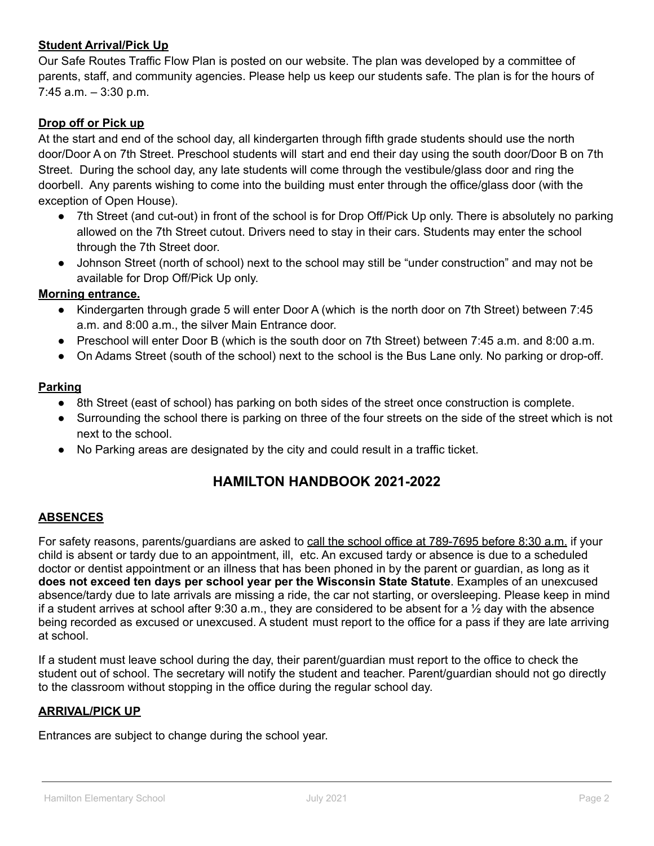# **Student Arrival/Pick Up**

Our Safe Routes Traffic Flow Plan is posted on our website. The plan was developed by a committee of parents, staff, and community agencies. Please help us keep our students safe. The plan is for the hours of  $7:45$  a.m.  $-3:30$  p.m.

# **Drop off or Pick up**

At the start and end of the school day, all kindergarten through fifth grade students should use the north door/Door A on 7th Street. Preschool students will start and end their day using the south door/Door B on 7th Street. During the school day, any late students will come through the vestibule/glass door and ring the doorbell. Any parents wishing to come into the building must enter through the office/glass door (with the exception of Open House).

- 7th Street (and cut-out) in front of the school is for Drop Off/Pick Up only. There is absolutely no parking allowed on the 7th Street cutout. Drivers need to stay in their cars. Students may enter the school through the 7th Street door.
- Johnson Street (north of school) next to the school may still be "under construction" and may not be available for Drop Off/Pick Up only.

# **Morning entrance.**

- Kindergarten through grade 5 will enter Door A (which is the north door on 7th Street) between 7:45 a.m. and 8:00 a.m., the silver Main Entrance door.
- Preschool will enter Door B (which is the south door on 7th Street) between 7:45 a.m. and 8:00 a.m.
- On Adams Street (south of the school) next to the school is the Bus Lane only. No parking or drop-off.

# **Parking**

- 8th Street (east of school) has parking on both sides of the street once construction is complete.
- Surrounding the school there is parking on three of the four streets on the side of the street which is not next to the school.
- No Parking areas are designated by the city and could result in a traffic ticket.

# **HAMILTON HANDBOOK 2021-2022**

# **ABSENCES**

For safety reasons, parents/guardians are asked to call the school office at 789-7695 before 8:30 a.m. if your child is absent or tardy due to an appointment, ill, etc. An excused tardy or absence is due to a scheduled doctor or dentist appointment or an illness that has been phoned in by the parent or guardian, as long as it **does not exceed ten days per school year per the Wisconsin State Statute**. Examples of an unexcused absence/tardy due to late arrivals are missing a ride, the car not starting, or oversleeping. Please keep in mind if a student arrives at school after 9:30 a.m., they are considered to be absent for a ½ day with the absence being recorded as excused or unexcused. A student must report to the office for a pass if they are late arriving at school.

If a student must leave school during the day, their parent/guardian must report to the office to check the student out of school. The secretary will notify the student and teacher. Parent/guardian should not go directly to the classroom without stopping in the office during the regular school day.

## **ARRIVAL/PICK UP**

Entrances are subject to change during the school year.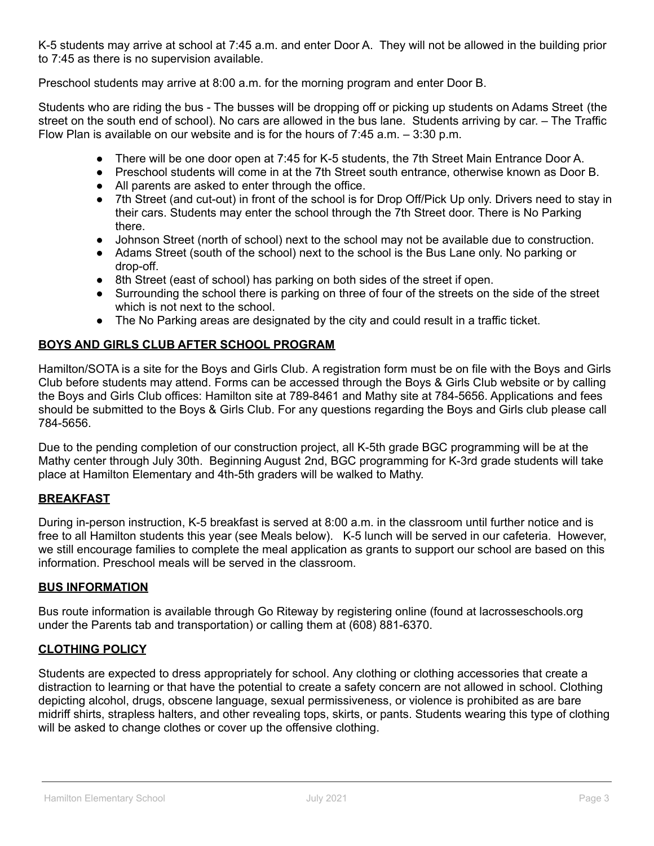K-5 students may arrive at school at 7:45 a.m. and enter Door A. They will not be allowed in the building prior to 7:45 as there is no supervision available.

Preschool students may arrive at 8:00 a.m. for the morning program and enter Door B.

Students who are riding the bus - The busses will be dropping off or picking up students on Adams Street (the street on the south end of school). No cars are allowed in the bus lane. Students arriving by car. – The Traffic Flow Plan is available on our website and is for the hours of 7:45 a.m. – 3:30 p.m.

- There will be one door open at 7:45 for K-5 students, the 7th Street Main Entrance Door A.
- Preschool students will come in at the 7th Street south entrance, otherwise known as Door B.
- All parents are asked to enter through the office.
- 7th Street (and cut-out) in front of the school is for Drop Off/Pick Up only. Drivers need to stay in their cars. Students may enter the school through the 7th Street door. There is No Parking there.
- Johnson Street (north of school) next to the school may not be available due to construction.
- Adams Street (south of the school) next to the school is the Bus Lane only. No parking or drop-off.
- 8th Street (east of school) has parking on both sides of the street if open.
- Surrounding the school there is parking on three of four of the streets on the side of the street which is not next to the school.
- The No Parking areas are designated by the city and could result in a traffic ticket.

# **BOYS AND GIRLS CLUB AFTER SCHOOL PROGRAM**

Hamilton/SOTA is a site for the Boys and Girls Club. A registration form must be on file with the Boys and Girls Club before students may attend. Forms can be accessed through the Boys & Girls Club website or by calling the Boys and Girls Club offices: Hamilton site at 789-8461 and Mathy site at 784-5656. Applications and fees should be submitted to the Boys & Girls Club. For any questions regarding the Boys and Girls club please call 784-5656.

Due to the pending completion of our construction project, all K-5th grade BGC programming will be at the Mathy center through July 30th. Beginning August 2nd, BGC programming for K-3rd grade students will take place at Hamilton Elementary and 4th-5th graders will be walked to Mathy.

# **BREAKFAST**

During in-person instruction, K-5 breakfast is served at 8:00 a.m. in the classroom until further notice and is free to all Hamilton students this year (see Meals below). K-5 lunch will be served in our cafeteria. However, we still encourage families to complete the meal application as grants to support our school are based on this information. Preschool meals will be served in the classroom.

## **BUS INFORMATION**

Bus route information is available through Go Riteway by registering online (found at lacrosseschools.org under the Parents tab and transportation) or calling them at (608) 881-6370.

## **CLOTHING POLICY**

Students are expected to dress appropriately for school. Any clothing or clothing accessories that create a distraction to learning or that have the potential to create a safety concern are not allowed in school. Clothing depicting alcohol, drugs, obscene language, sexual permissiveness, or violence is prohibited as are bare midriff shirts, strapless halters, and other revealing tops, skirts, or pants. Students wearing this type of clothing will be asked to change clothes or cover up the offensive clothing.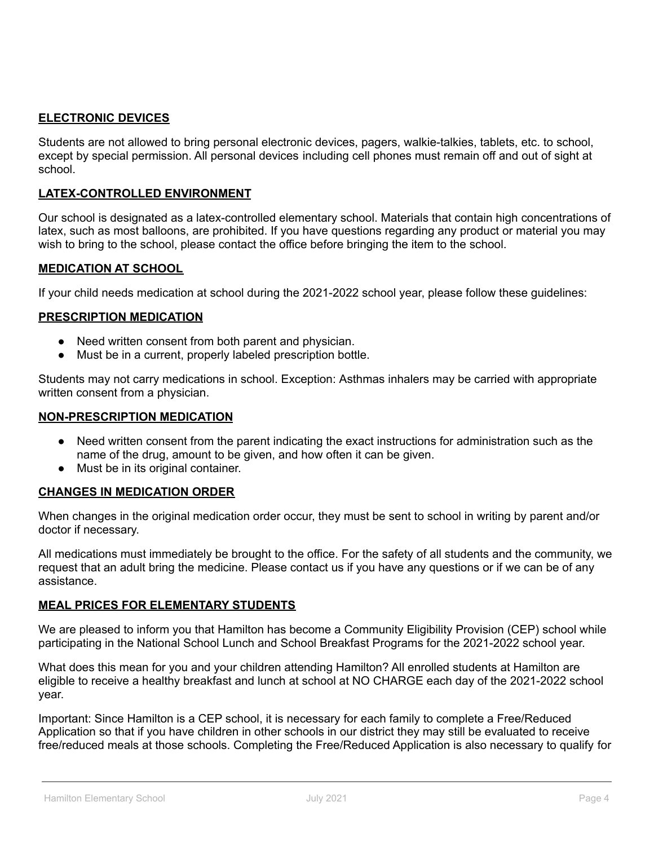# **ELECTRONIC DEVICES**

Students are not allowed to bring personal electronic devices, pagers, walkie-talkies, tablets, etc. to school, except by special permission. All personal devices including cell phones must remain off and out of sight at school.

# **LATEX-CONTROLLED ENVIRONMENT**

Our school is designated as a latex-controlled elementary school. Materials that contain high concentrations of latex, such as most balloons, are prohibited. If you have questions regarding any product or material you may wish to bring to the school, please contact the office before bringing the item to the school.

## **MEDICATION AT SCHOOL**

If your child needs medication at school during the 2021-2022 school year, please follow these guidelines:

## **PRESCRIPTION MEDICATION**

- Need written consent from both parent and physician.
- Must be in a current, properly labeled prescription bottle.

Students may not carry medications in school. Exception: Asthmas inhalers may be carried with appropriate written consent from a physician.

#### **NON-PRESCRIPTION MEDICATION**

- Need written consent from the parent indicating the exact instructions for administration such as the name of the drug, amount to be given, and how often it can be given.
- Must be in its original container.

## **CHANGES IN MEDICATION ORDER**

When changes in the original medication order occur, they must be sent to school in writing by parent and/or doctor if necessary.

All medications must immediately be brought to the office. For the safety of all students and the community, we request that an adult bring the medicine. Please contact us if you have any questions or if we can be of any assistance.

## **MEAL PRICES FOR ELEMENTARY STUDENTS**

We are pleased to inform you that Hamilton has become a Community Eligibility Provision (CEP) school while participating in the National School Lunch and School Breakfast Programs for the 2021-2022 school year.

What does this mean for you and your children attending Hamilton? All enrolled students at Hamilton are eligible to receive a healthy breakfast and lunch at school at NO CHARGE each day of the 2021-2022 school year.

Important: Since Hamilton is a CEP school, it is necessary for each family to complete a Free/Reduced Application so that if you have children in other schools in our district they may still be evaluated to receive free/reduced meals at those schools. Completing the Free/Reduced Application is also necessary to qualify for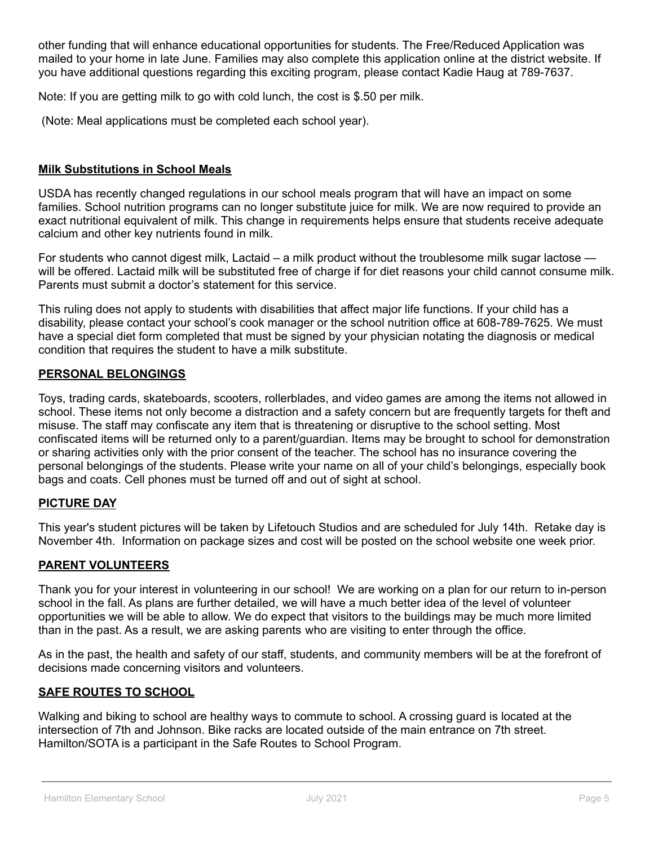other funding that will enhance educational opportunities for students. The Free/Reduced Application was mailed to your home in late June. Families may also complete this application online at the district website. If you have additional questions regarding this exciting program, please contact Kadie Haug at 789-7637.

Note: If you are getting milk to go with cold lunch, the cost is \$.50 per milk.

(Note: Meal applications must be completed each school year).

## **Milk Substitutions in School Meals**

USDA has recently changed regulations in our school meals program that will have an impact on some families. School nutrition programs can no longer substitute juice for milk. We are now required to provide an exact nutritional equivalent of milk. This change in requirements helps ensure that students receive adequate calcium and other key nutrients found in milk.

For students who cannot digest milk, Lactaid – a milk product without the troublesome milk sugar lactose will be offered. Lactaid milk will be substituted free of charge if for diet reasons your child cannot consume milk. Parents must submit a doctor's statement for this service.

This ruling does not apply to students with disabilities that affect major life functions. If your child has a disability, please contact your school's cook manager or the school nutrition office at 608-789-7625. We must have a special diet form completed that must be signed by your physician notating the diagnosis or medical condition that requires the student to have a milk substitute.

# **PERSONAL BELONGINGS**

Toys, trading cards, skateboards, scooters, rollerblades, and video games are among the items not allowed in school. These items not only become a distraction and a safety concern but are frequently targets for theft and misuse. The staff may confiscate any item that is threatening or disruptive to the school setting. Most confiscated items will be returned only to a parent/guardian. Items may be brought to school for demonstration or sharing activities only with the prior consent of the teacher. The school has no insurance covering the personal belongings of the students. Please write your name on all of your child's belongings, especially book bags and coats. Cell phones must be turned off and out of sight at school.

## **PICTURE DAY**

This year's student pictures will be taken by Lifetouch Studios and are scheduled for July 14th. Retake day is November 4th. Information on package sizes and cost will be posted on the school website one week prior.

## **PARENT VOLUNTEERS**

Thank you for your interest in volunteering in our school! We are working on a plan for our return to in-person school in the fall. As plans are further detailed, we will have a much better idea of the level of volunteer opportunities we will be able to allow. We do expect that visitors to the buildings may be much more limited than in the past. As a result, we are asking parents who are visiting to enter through the office.

As in the past, the health and safety of our staff, students, and community members will be at the forefront of decisions made concerning visitors and volunteers.

# **SAFE ROUTES TO SCHOOL**

Walking and biking to school are healthy ways to commute to school. A crossing guard is located at the intersection of 7th and Johnson. Bike racks are located outside of the main entrance on 7th street. Hamilton/SOTA is a participant in the Safe Routes to School Program.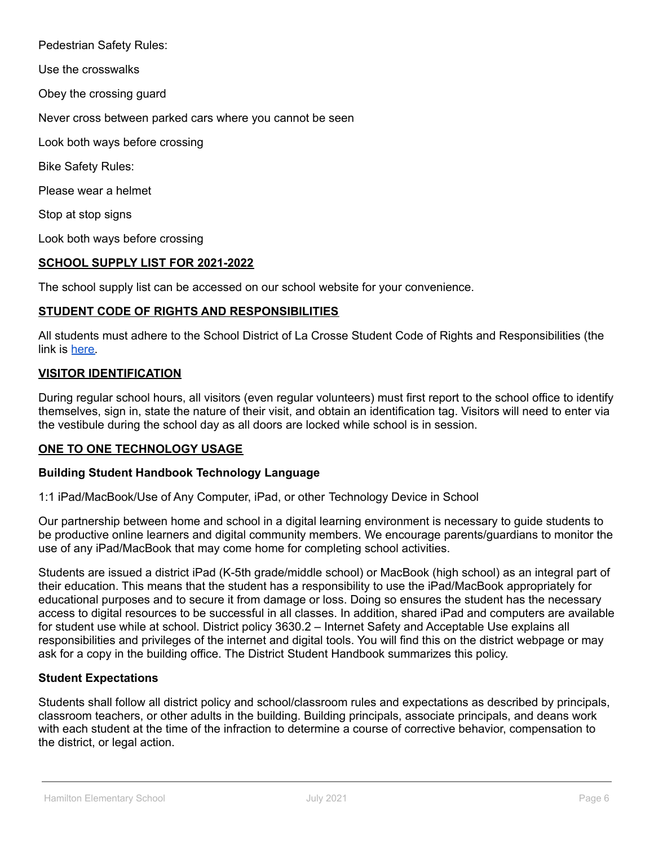Pedestrian Safety Rules:

Use the crosswalks

Obey the crossing guard

Never cross between parked cars where you cannot be seen

Look both ways before crossing

Bike Safety Rules:

Please wear a helmet

Stop at stop signs

Look both ways before crossing

## **SCHOOL SUPPLY LIST FOR 2021-2022**

The school supply list can be accessed on our school website for your convenience.

# **STUDENT CODE OF RIGHTS AND RESPONSIBILITIES**

All students must adhere to the School District of La Crosse Student Code of Rights and Responsibilities (the link is [here.](https://www.lacrosseschools.org/wp-content/uploads/2021/05/2021-22-Code-of-Rights-and-Responsibilities.pdf)

## **VISITOR IDENTIFICATION**

During regular school hours, all visitors (even regular volunteers) must first report to the school office to identify themselves, sign in, state the nature of their visit, and obtain an identification tag. Visitors will need to enter via the vestibule during the school day as all doors are locked while school is in session.

## **ONE TO ONE TECHNOLOGY USAGE**

## **Building Student Handbook Technology Language**

1:1 iPad/MacBook/Use of Any Computer, iPad, or other Technology Device in School

Our partnership between home and school in a digital learning environment is necessary to guide students to be productive online learners and digital community members. We encourage parents/guardians to monitor the use of any iPad/MacBook that may come home for completing school activities.

Students are issued a district iPad (K-5th grade/middle school) or MacBook (high school) as an integral part of their education. This means that the student has a responsibility to use the iPad/MacBook appropriately for educational purposes and to secure it from damage or loss. Doing so ensures the student has the necessary access to digital resources to be successful in all classes. In addition, shared iPad and computers are available for student use while at school. District policy 3630.2 – Internet Safety and Acceptable Use explains all responsibilities and privileges of the internet and digital tools. You will find this on the district webpage or may ask for a copy in the building office. The District Student Handbook summarizes this policy.

## **Student Expectations**

Students shall follow all district policy and school/classroom rules and expectations as described by principals, classroom teachers, or other adults in the building. Building principals, associate principals, and deans work with each student at the time of the infraction to determine a course of corrective behavior, compensation to the district, or legal action.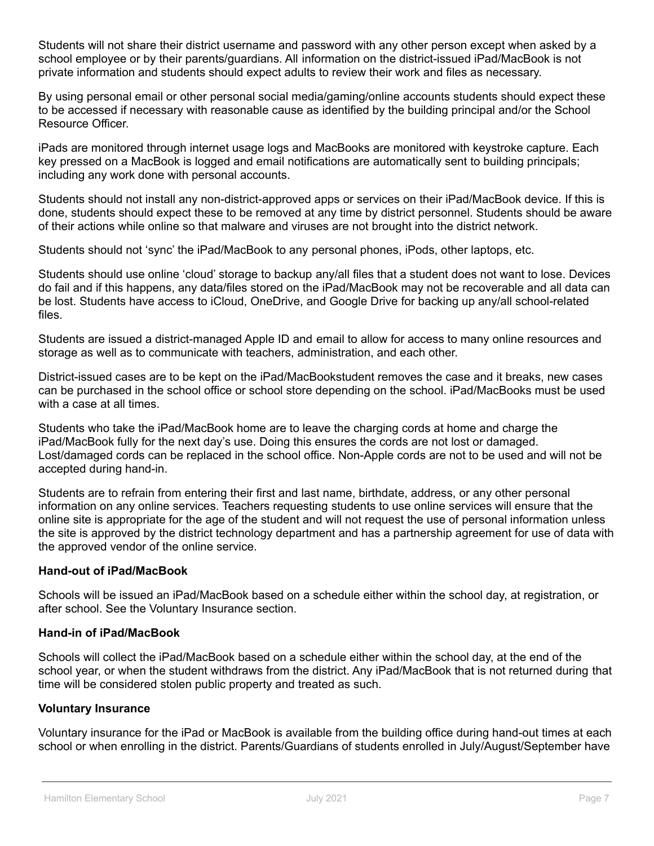Students will not share their district username and password with any other person except when asked by a school employee or by their parents/guardians. All information on the district-issued iPad/MacBook is not private information and students should expect adults to review their work and files as necessary.

By using personal email or other personal social media/gaming/online accounts students should expect these to be accessed if necessary with reasonable cause as identified by the building principal and/or the School Resource Officer.

iPads are monitored through internet usage logs and MacBooks are monitored with keystroke capture. Each key pressed on a MacBook is logged and email notifications are automatically sent to building principals; including any work done with personal accounts.

Students should not install any non-district-approved apps or services on their iPad/MacBook device. If this is done, students should expect these to be removed at any time by district personnel. Students should be aware of their actions while online so that malware and viruses are not brought into the district network.

Students should not 'sync' the iPad/MacBook to any personal phones, iPods, other laptops, etc.

Students should use online 'cloud' storage to backup any/all files that a student does not want to lose. Devices do fail and if this happens, any data/files stored on the iPad/MacBook may not be recoverable and all data can be lost. Students have access to iCloud, OneDrive, and Google Drive for backing up any/all school-related files.

Students are issued a district-managed Apple ID and email to allow for access to many online resources and storage as well as to communicate with teachers, administration, and each other.

District-issued cases are to be kept on the iPad/MacBookstudent removes the case and it breaks, new cases can be purchased in the school office or school store depending on the school. iPad/MacBooks must be used with a case at all times.

Students who take the iPad/MacBook home are to leave the charging cords at home and charge the iPad/MacBook fully for the next day's use. Doing this ensures the cords are not lost or damaged. Lost/damaged cords can be replaced in the school office. Non-Apple cords are not to be used and will not be accepted during hand-in.

Students are to refrain from entering their first and last name, birthdate, address, or any other personal information on any online services. Teachers requesting students to use online services will ensure that the online site is appropriate for the age of the student and will not request the use of personal information unless the site is approved by the district technology department and has a partnership agreement for use of data with the approved vendor of the online service.

# **Hand-out of iPad/MacBook**

Schools will be issued an iPad/MacBook based on a schedule either within the school day, at registration, or after school. See the Voluntary Insurance section.

## **Hand-in of iPad/MacBook**

Schools will collect the iPad/MacBook based on a schedule either within the school day, at the end of the school year, or when the student withdraws from the district. Any iPad/MacBook that is not returned during that time will be considered stolen public property and treated as such.

## **Voluntary Insurance**

Voluntary insurance for the iPad or MacBook is available from the building office during hand-out times at each school or when enrolling in the district. Parents/Guardians of students enrolled in July/August/September have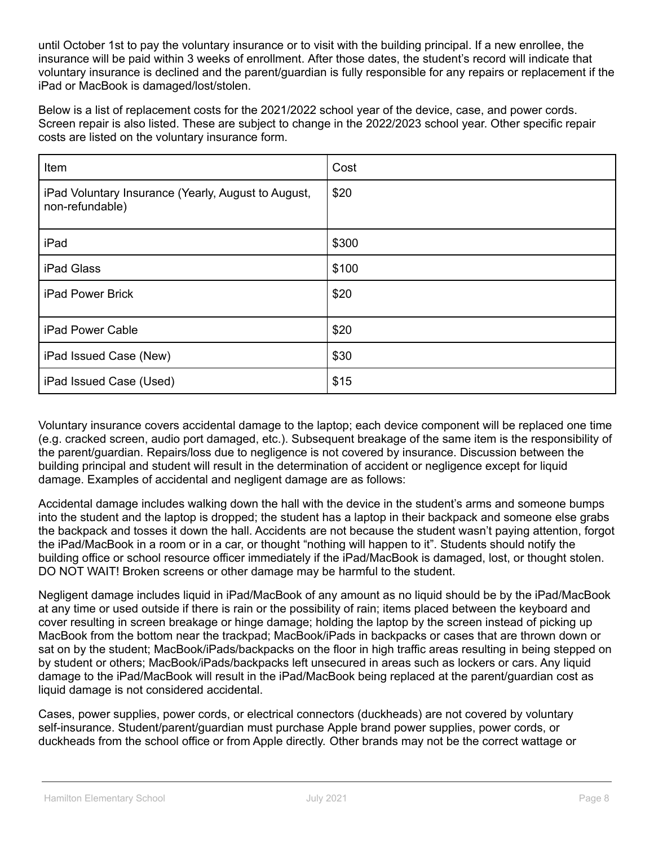until October 1st to pay the voluntary insurance or to visit with the building principal. If a new enrollee, the insurance will be paid within 3 weeks of enrollment. After those dates, the student's record will indicate that voluntary insurance is declined and the parent/guardian is fully responsible for any repairs or replacement if the iPad or MacBook is damaged/lost/stolen.

Below is a list of replacement costs for the 2021/2022 school year of the device, case, and power cords. Screen repair is also listed. These are subject to change in the 2022/2023 school year. Other specific repair costs are listed on the voluntary insurance form.

| Item                                                                   | Cost  |
|------------------------------------------------------------------------|-------|
| iPad Voluntary Insurance (Yearly, August to August,<br>non-refundable) | \$20  |
| iPad                                                                   | \$300 |
| iPad Glass                                                             | \$100 |
| iPad Power Brick                                                       | \$20  |
| <b>iPad Power Cable</b>                                                | \$20  |
| iPad Issued Case (New)                                                 | \$30  |
| iPad Issued Case (Used)                                                | \$15  |

Voluntary insurance covers accidental damage to the laptop; each device component will be replaced one time (e.g. cracked screen, audio port damaged, etc.). Subsequent breakage of the same item is the responsibility of the parent/guardian. Repairs/loss due to negligence is not covered by insurance. Discussion between the building principal and student will result in the determination of accident or negligence except for liquid damage. Examples of accidental and negligent damage are as follows:

Accidental damage includes walking down the hall with the device in the student's arms and someone bumps into the student and the laptop is dropped; the student has a laptop in their backpack and someone else grabs the backpack and tosses it down the hall. Accidents are not because the student wasn't paying attention, forgot the iPad/MacBook in a room or in a car, or thought "nothing will happen to it". Students should notify the building office or school resource officer immediately if the iPad/MacBook is damaged, lost, or thought stolen. DO NOT WAIT! Broken screens or other damage may be harmful to the student.

Negligent damage includes liquid in iPad/MacBook of any amount as no liquid should be by the iPad/MacBook at any time or used outside if there is rain or the possibility of rain; items placed between the keyboard and cover resulting in screen breakage or hinge damage; holding the laptop by the screen instead of picking up MacBook from the bottom near the trackpad; MacBook/iPads in backpacks or cases that are thrown down or sat on by the student; MacBook/iPads/backpacks on the floor in high traffic areas resulting in being stepped on by student or others; MacBook/iPads/backpacks left unsecured in areas such as lockers or cars. Any liquid damage to the iPad/MacBook will result in the iPad/MacBook being replaced at the parent/guardian cost as liquid damage is not considered accidental.

Cases, power supplies, power cords, or electrical connectors (duckheads) are not covered by voluntary self-insurance. Student/parent/guardian must purchase Apple brand power supplies, power cords, or duckheads from the school office or from Apple directly. Other brands may not be the correct wattage or